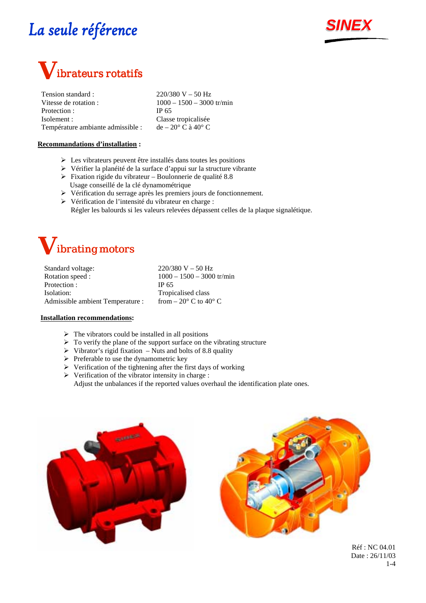



Tension standard :  $220/380 \text{ V} - 50 \text{ Hz}$ Vitesse de rotation :  $1000 - 1500 - 3000$  tr/min Protection : IP 65 Isolement : Classe tropicalisée Température ambiante admissible : de –  $20^{\circ}$  C à  $40^{\circ}$  C

### **Recommandations d'installation :**

- $\triangleright$  Les vibrateurs peuvent être installés dans toutes les positions
- ! Vérifier la planéité de la surface d'appui sur la structure vibrante
- $\triangleright$  Fixation rigide du vibrateur Boulonnerie de qualité 8.8 Usage conseillé de la clé dynamométrique
- ! Vérification du serrage après les premiers jours de fonctionnement.
- ! Vérification de l'intensité du vibrateur en charge : Régler les balourds si les valeurs relevées dépassent celles de la plaque signalétique.



Standard voltage: 220/380 V – 50 Hz Rotation speed : 1000 – 1500 – 3000 tr/min Protection : IP 65 Isolation: Tropicalised class Admissible ambient Temperature : from  $-20^{\circ}$  C to  $40^{\circ}$  C

#### **Installation recommendations:**

- $\triangleright$  The vibrators could be installed in all positions
- $\triangleright$  To verify the plane of the support surface on the vibrating structure
- $\triangleright$  Vibrator's rigid fixation Nuts and bolts of 8.8 quality
- $\triangleright$  Preferable to use the dynamometric key
- $\triangleright$  Verification of the tightening after the first days of working
- $\triangleright$  Verification of the vibrator intensity in charge : Adjust the unbalances if the reported values overhaul the identification plate ones.





Réf : NC 04.01 Date : 26/11/03 1-4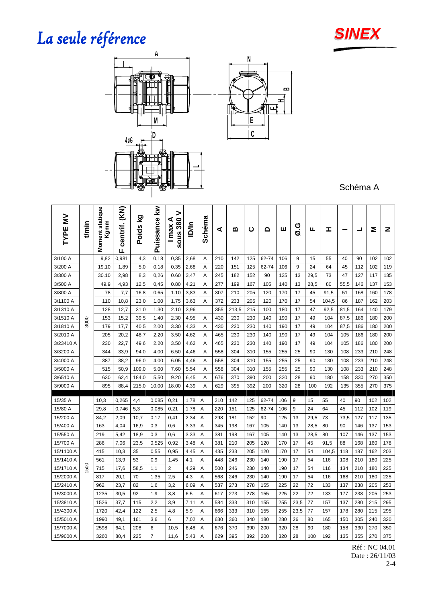

**B H** யு



Schéma A

| $\geq$<br>TYPE | t/min | Moment statique<br>Kgmm | (KN)<br>centrif.<br>ц. | Σă<br><b>Poids</b> | ≩<br>Puissance | ><br>⋖<br>$sous$ 380<br>max | liD/in | Schéma | ⋖   | ≃     | ပ   | ۵     | ш   | Ø.G  | щ    | I     |      | ┙   | Σ   | z   |
|----------------|-------|-------------------------|------------------------|--------------------|----------------|-----------------------------|--------|--------|-----|-------|-----|-------|-----|------|------|-------|------|-----|-----|-----|
| 3/100 A        |       | 9,82                    | 0,981                  | 4,3                | 0,18           | 0,35                        | 2,68   | Α      | 210 | 142   | 125 | 62-74 | 106 | 9    | 15   | 55    | 40   | 90  | 102 | 102 |
| 3/200 A        |       | 19.10                   | 1,89                   | 5.0                | 0,18           | 0,35                        | 2,68   | A      | 220 | 151   | 125 | 62-74 | 106 | 9    | 24   | 64    | 45   | 112 | 102 | 119 |
| 3/300 A        |       | 30.10                   | 2,98                   | 8,3                | 0,26           | 0.60                        | 3,47   | Α      | 245 | 182   | 152 | 90    | 125 | 13   | 29,5 | 73    | 47   | 127 | 117 | 135 |
| 3/500 A        |       | 49.9                    | 4,93                   | 12,5               | 0,45           | 0.80                        | 4,21   | A      | 277 | 199   | 167 | 105   | 140 | 13   | 28,5 | 80    | 55,5 | 146 | 137 | 153 |
| 3/800 A        |       | 78                      | 7,7                    | 16,8               | 0,65           | 1.10                        | 3,83   | Α      | 307 | 210   | 205 | 120   | 170 | 17   | 45   | 91,5  | 51   | 168 | 160 | 178 |
| 3/1100 A       |       | 110                     | 10,8                   | 23.0               | 1.00           | 1,75                        | 3,63   | A      | 372 | 233   | 205 | 120   | 170 | 17   | 54   | 104,5 | 86   | 187 | 162 | 203 |
| 3/1310 A       |       | 128                     | 12,7                   | 31.0               | 1.30           | 2.10                        | 3,96   |        | 355 | 213,5 | 215 | 100   | 180 | 17   | 47   | 92,5  | 81,5 | 164 | 140 | 179 |
| 3/1510 A       | 3000  | 153                     | 15,2                   | 39,5               | 1.40           | 2.30                        | 4,95   | Α      | 430 | 230   | 230 | 140   | 190 | 17   | 49   | 104   | 87,5 | 186 | 180 | 200 |
| 3/1810 A       |       | 179                     | 17,7                   | 40,5               | 2.00           | 3.30                        | 4,33   | A      | 430 | 230   | 230 | 140   | 190 | 17   | 49   | 104   | 87,5 | 186 | 180 | 200 |
| 3/2010 A       |       | 205                     | 20,2                   | 48,7               | 2.20           | 3.50                        | 4,62   | Α      | 465 | 230   | 230 | 140   | 190 | 17   | 49   | 104   | 105  | 186 | 180 | 200 |
| 3/23410 A      |       | 230                     | 22,7                   | 49,6               | 2.20           | 3.50                        | 4,62   | A      | 465 | 230   | 230 | 140   | 190 | 17   | 49   | 104   | 105  | 186 | 180 | 200 |
| 3/3200 A       |       | 344                     | 33,9                   | 94.0               | 4.00           | 6.50                        | 4,46   | A      | 558 | 304   | 310 | 155   | 255 | 25   | 90   | 130   | 108  | 233 | 210 | 248 |
| 3/4000 A       |       | 387                     | 38,2                   | 96.0               | 4.00           | 6.05                        | 4,46   | Α      | 558 | 304   | 310 | 155   | 255 | 25   | 90   | 130   | 108  | 233 | 210 | 248 |
| 3/5000 A       |       | 515                     | 50,9                   | 109.0              | 5.00           | 7.60                        | 5,54   | A      | 558 | 304   | 310 | 155   | 255 | 25   | 90   | 130   | 108  | 233 | 210 | 248 |
| 3/6510 A       |       | 630                     | 62,4                   | 184.0              | 5.50           | 9.20                        | 6,45   | Α      | 676 | 370   | 390 | 200   | 320 | 28   | 90   | 180   | 158  | 330 | 270 | 350 |
| 3/9000 A       |       | 895                     | 88,4                   | 215.0              | 10.00          | 18.00                       | 4,39   | Α      | 629 | 395   | 392 | 200   | 320 | 28   | 100  | 192   | 135  | 355 | 270 | 375 |
| 15/35 A        |       | 10,3                    | 0.265                  | 4,4                | 0.085          | 0,21                        | 1,78   | A      | 210 | 142   | 125 | 62-74 | 106 | 9    | 15   | 55    | 40   | 90  | 102 | 102 |
| 15/80 A        |       | 29,8                    | 0,746                  | 5,3                | 0,085          | 0,21                        | 1,78   | Α      | 220 | 151   | 125 | 62-74 | 106 | 9    | 24   | 64    | 45   | 112 | 102 | 119 |
| 15/200 A       |       | 84,2                    | 2,09                   | 10.7               | 0,17           | 0,41                        | 2,34   | Α      | 298 | 181   | 152 | 90    | 125 | 13   | 29,5 | 73    | 73,5 | 127 | 117 | 135 |
| 15/400 A       |       | 163                     | 4,04                   | 16,9               | 0,3            | 0,6                         | 3,33   | Α      | 345 | 198   | 167 | 105   | 140 | 13   | 28,5 | 80    | 90   | 146 | 137 | 153 |
| 15/550 A       |       | 219                     | 5,42                   | 18,9               | 0,3            | 0,6                         | 3,33   | Α      | 381 | 198   | 167 | 105   | 140 | 13   | 28,5 | 80    | 107  | 146 | 137 | 153 |
| 15/700 A       |       | 286                     | 7,06                   | 23,5               | 0,525          | 0,92                        | 3,48   | A      | 381 | 210   | 205 | 120   | 170 | 17   | 45   | 91,5  | 88   | 168 | 160 | 178 |
| 15/1100 A      |       | 415                     | 10,3                   | 35                 | 0,55           | 0,95                        | 4,45   | Α      | 435 | 233   | 205 | 120   | 170 | 17   | 54   | 104,5 | 118  | 187 | 162 | 203 |
| 15/1410 A      |       | 561                     | 13,9                   | 53                 | 0,9            | 1,45                        | 4,1    | A      | 448 | 246   | 230 | 140   | 190 | 17   | 54   | 116   | 108  | 210 | 180 | 225 |
| 15/1710 A      | 500   | 715                     | 17,6                   | 58,5               | 1,1            | $\overline{2}$              | 4,29   | Α      | 500 | 246   | 230 | 140   | 190 | 17   | 54   | 116   | 134  | 210 | 180 | 225 |
| 15/2000 A      |       | 817                     | 20,1                   | 70                 | 1,35           | 2,5                         | 4,3    | A      | 568 | 246   | 230 | 140   | 190 | 17   | 54   | 116   | 168  | 210 | 180 | 225 |
| 15/2410 A      |       | 962                     | 23,7                   | 82                 | 1,6            | 3,2                         | 6,09   | Α      | 537 | 273   | 278 | 155   | 225 | 22   | 72   | 133   | 137  | 238 | 205 | 253 |
| 15/3000 A      |       | 1235                    | 30,5                   | 92                 | 1,9            | 3,8                         | 6,5    | Α      | 617 | 273   | 278 | 155   | 225 | 22   | 72   | 133   | 177  | 238 | 205 | 253 |
| 15/3810 A      |       | 1526                    | 37,7                   | 115                | 2,2            | 3,9                         | 7,11   | A      | 584 | 333   | 310 | 155   | 255 | 23,5 | 77   | 157   | 137  | 280 | 215 | 295 |
| 15/4300 A      |       | 1720                    | 42,4                   | 122                | 2,5            | 4,8                         | 5,9    | Α      | 666 | 333   | 310 | 155   | 255 | 23,5 | 77   | 157   | 178  | 280 | 215 | 295 |
| 15/5010 A      |       | 1990                    | 49,1                   | 161                | 3,6            | 6                           | 7,02   | A      | 630 | 360   | 340 | 180   | 280 | 26   | 80   | 165   | 150  | 305 | 240 | 320 |
| 15/7000 A      |       | 2598                    | 64,1                   | 208                | 6              | 10,5                        | 6,48   | Α      | 676 | 370   | 390 | 200   | 320 | 28   | 90   | 180   | 158  | 330 | 270 | 350 |
| 15/9000 A      |       | 3260                    | 80,4                   | 225                | $\overline{7}$ | 11,6                        | 5,43   | Α      | 629 | 395   | 392 | 200   | 320 | 28   | 100  | 192   | 135  | 355 | 270 | 375 |

Réf : NC 04.01 Date : 26/11/03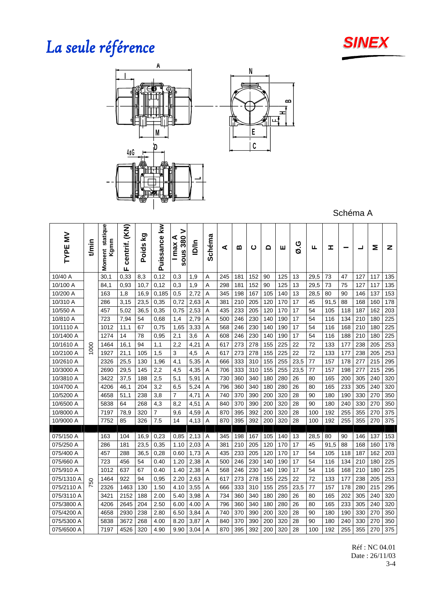



Schéma A

**B H** யு

| $\geq$<br>TYPE | t/min | statique<br>Kgmm<br>Moment | (KN)<br>centrif.<br>ш | Σò<br><b>Poids</b> | Puissance kw   | ><br>380<br>⋖<br>max<br>SOUS | <b>D</b> | Schéma | ⋖   | മ   | ပ   | ٥   | ш   | O.G  | ட    | I    |     | ᆜ   | Σ   | z   |
|----------------|-------|----------------------------|-----------------------|--------------------|----------------|------------------------------|----------|--------|-----|-----|-----|-----|-----|------|------|------|-----|-----|-----|-----|
| 10/40 A        |       | 30,1                       | 0,33                  | 8,3                | 0,12           | 0,3                          | 1,9      | Α      | 245 | 181 | 152 | 90  | 125 | 13   | 29,5 | 73   | 47  | 127 | 117 | 135 |
| 10/100 A       |       | 84,1                       | 0,93                  | 10,7               | 0,12           | 0,3                          | 1,9      | Α      | 298 | 181 | 152 | 90  | 125 | 13   | 29,5 | 73   | 75  | 127 | 117 | 135 |
| 10/200 A       |       | 163                        | 1,8                   | 16,9               | 0,185          | 0,5                          | 2,72     | Α      | 345 | 198 | 167 | 105 | 140 | 13   | 28,5 | 80   | 90  | 146 | 137 | 153 |
| 10/310 A       |       | 286                        | 3,15                  | 23,5               | 0,35           | 0,72                         | 2,63     | Α      | 381 | 210 | 205 | 120 | 170 | 17   | 45   | 91,5 | 88  | 168 | 160 | 178 |
| 10/550 A       |       | 457                        | 5,02                  | 36,5               | 0,35           | 0,75                         | 2,53     | Α      | 435 | 233 | 205 | 120 | 170 | 17   | 54   | 105  | 118 | 187 | 162 | 203 |
| 10/810 A       |       | 723                        | 7,94                  | 54                 | 0,68           | 1,4                          | 2,79     | Α      | 500 | 246 | 230 | 140 | 190 | 17   | 54   | 116  | 134 | 210 | 180 | 225 |
| 10/1110 A      |       | 1012                       | 11,1                  | 67                 | 0,75           | 1,65                         | 3,33     | Α      | 568 | 246 | 230 | 140 | 190 | 17   | 54   | 116  | 168 | 210 | 180 | 225 |
| 10/1400 A      |       | 1274                       | 14                    | 78                 | 0,95           | 2,1                          | 3,6      | Α      | 608 | 246 | 230 | 140 | 190 | 17   | 54   | 116  | 188 | 210 | 180 | 225 |
| 10/1610 A      | 1000  | 1464                       | 16,1                  | 94                 | 1,1            | 2,2                          | 4,21     | Α      | 617 | 273 | 278 | 155 | 225 | 22   | 72   | 133  | 177 | 238 | 205 | 253 |
| 10/2100 A      |       | 1927                       | 21,1                  | 105                | 1,5            | 3                            | 4,5      | Α      | 617 | 273 | 278 | 155 | 225 | 22   | 72   | 133  | 177 | 238 | 205 | 253 |
| 10/2610 A      |       | 2326                       | 25,5                  | 130                | 1,96           | 4,1                          | 5,35     | Α      | 666 | 333 | 310 | 155 | 255 | 23,5 | 77   | 157  | 178 | 277 | 215 | 295 |
| 10/3000 A      |       | 2690                       | 29,5                  | 145                | 2,2            | 4,5                          | 4,35     | Α      | 706 | 333 | 310 | 155 | 255 | 23,5 | 77   | 157  | 198 | 277 | 215 | 295 |
| 10/3810 A      |       | 3422                       | 37,5                  | 188                | 2,5            | 5,1                          | 5,91     | Α      | 730 | 360 | 340 | 180 | 280 | 26   | 80   | 165  | 200 | 305 | 240 | 320 |
| 10/4700 A      |       | 4206                       | 46,1                  | 204                | 3,2            | 6,5                          | 5,24     | Α      | 796 | 360 | 340 | 180 | 280 | 26   | 80   | 165  | 233 | 305 | 240 | 320 |
| 10/5200 A      |       | 4658                       | 51,1                  | 238                | 3,8            | $\overline{7}$               | 4,71     | A      | 740 | 370 | 390 | 200 | 320 | 28   | 90   | 180  | 190 | 330 | 270 | 350 |
| 10/6500 A      |       | 5838                       | 64                    | 268                | 4,3            | 8,2                          | 4,51     | Α      | 840 | 370 | 390 | 200 | 320 | 28   | 90   | 180  | 240 | 330 | 270 | 350 |
| 10/8000 A      |       | 7197                       | 78,9                  | 320                | $\overline{7}$ | 9,6                          | 4,59     | Α      | 870 | 395 | 392 | 200 | 320 | 28   | 100  | 192  | 255 | 355 | 270 | 375 |
| 10/9000 A      |       | 7752                       | 85                    | 326                | 7.5            | 14                           | 4,13     | Α      | 870 | 395 | 392 | 200 | 320 | 28   | 100  | 192  | 255 | 355 | 270 | 375 |
|                |       |                            |                       |                    |                |                              |          |        |     |     |     |     |     |      |      |      |     |     |     |     |
| 075/150 A      |       | 163                        | 104                   | 16,9               | 0,23           | 0,85                         | 2,13     | Α      | 345 | 198 | 167 | 105 | 140 | 13   | 28,5 | 80   | 90  | 146 | 137 | 153 |
| 075/250 A      |       | 286                        | 181                   | 23,5               | 0,35           | 1.10                         | 2,03     | Α      | 381 | 210 | 205 | 120 | 170 | 17   | 45   | 91,5 | 88  | 168 | 160 | 178 |
| 075/400 A      |       | 457                        | 288                   | 36,5               | 0,28           | 0.60                         | 1,73     | Α      | 435 | 233 | 205 | 120 | 170 | 17   | 54   | 105  | 118 | 187 | 162 | 203 |
| 075/660 A      |       | 723                        | 456                   | 54                 | 0.40           | 1.20                         | 2,38     | Α      | 500 | 246 | 230 | 140 | 190 | 17   | 54   | 116  | 134 | 210 | 180 | 225 |
| 075/910 A      |       | 1012                       | 637                   | 67                 | 0.40           | 1.40                         | 2,38     | Α      | 568 | 246 | 230 | 140 | 190 | 17   | 54   | 116  | 168 | 210 | 180 | 225 |
| 075/1310 A     | 750   | 1464                       | 922                   | 94                 | 0,95           | 2.20                         | 2,63     | Α      | 617 | 273 | 278 | 155 | 225 | 22   | 72   | 133  | 177 | 238 | 205 | 253 |
| 075/2110 A     |       | 2326                       | 1463                  | 130                | 1.50           | 4.10                         | 3,55     | A      | 666 | 333 | 310 | 155 | 255 | 23,5 | 77   | 157  | 178 | 280 | 215 | 295 |
| 075/3110 A     |       | 3421                       | 2152                  | 188                | 2.00           | 5.40                         | 3,98     | Α      | 734 | 360 | 340 | 180 | 280 | 26   | 80   | 165  | 202 | 305 | 240 | 320 |
| 075/3800 A     |       | 4206                       | 2645                  | 204                | 2.50           | 6.00                         | 4.00     | Α      | 796 | 360 | 340 | 180 | 280 | 26   | 80   | 165  | 233 | 305 | 240 | 320 |
| 075/4200 A     |       | 4658                       | 2930                  | 238                | 2.80           | 6.50                         | 3,84     | Α      | 740 | 370 | 390 | 200 | 320 | 28   | 90   | 180  | 190 | 330 | 270 | 350 |
| 075/5300 A     |       | 5838                       | 3672                  | 268                | 4.00           | 8.20                         | 3,87     | Α      | 840 | 370 | 390 | 200 | 320 | 28   | 90   | 180  | 240 | 330 | 270 | 350 |
| 075/6500 A     |       | 7197                       | 4526                  | 320                | 4.90           | 9.90                         | 3,04     | Α      | 870 | 395 | 392 | 200 | 320 | 28   | 100  | 192  | 255 | 355 | 270 | 375 |

Réf : NC 04.01 Date : 26/11/03 3-4